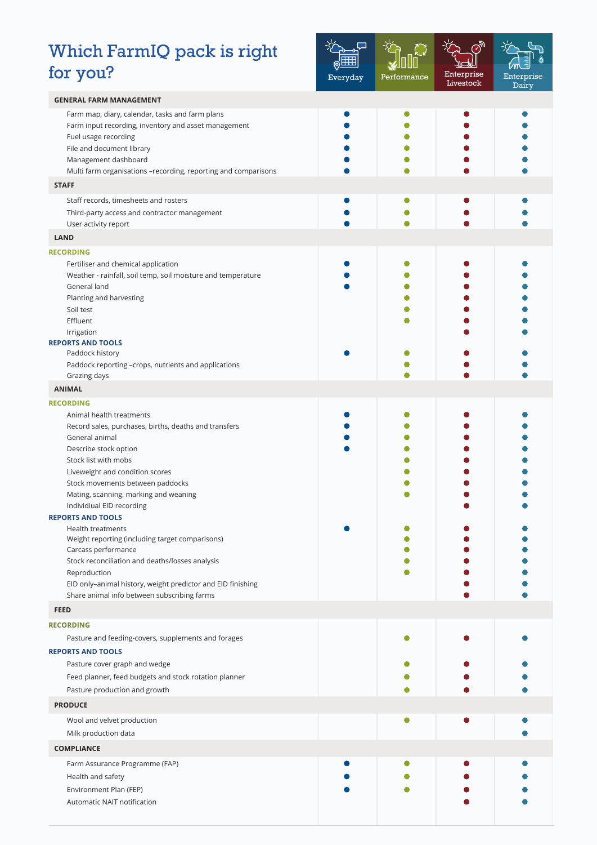## Which FarmIQ pack is right for you?



| <b>GENERAL FARM MANAGEMENT</b>                                                                                                                                                                                                                                                                                                        |   |  |
|---------------------------------------------------------------------------------------------------------------------------------------------------------------------------------------------------------------------------------------------------------------------------------------------------------------------------------------|---|--|
| Farm map, diary, calendar, tasks and farm plans<br>Farm input recording, inventory and asset management<br>Fuel usage recording<br>File and document library<br>Management dashboard<br>Multi farm organisations -recording, reporting and comparisons                                                                                |   |  |
| <b>STAFF</b>                                                                                                                                                                                                                                                                                                                          |   |  |
| Staff records, timesheets and rosters                                                                                                                                                                                                                                                                                                 |   |  |
| Third-party access and contractor management                                                                                                                                                                                                                                                                                          |   |  |
| User activity report                                                                                                                                                                                                                                                                                                                  |   |  |
| <b>LAND</b>                                                                                                                                                                                                                                                                                                                           |   |  |
| <b>RECORDING</b>                                                                                                                                                                                                                                                                                                                      |   |  |
| Fertiliser and chemical application<br>Weather - rainfall, soil temp, soil moisture and temperature<br>General land<br>Planting and harvesting<br>Soil test<br>Effluent<br>Irrigation                                                                                                                                                 |   |  |
| <b>REPORTS AND TOOLS</b>                                                                                                                                                                                                                                                                                                              |   |  |
| Paddock history<br>Paddock reporting -crops, nutrients and applications<br>Grazing days                                                                                                                                                                                                                                               |   |  |
| <b>ANIMAL</b>                                                                                                                                                                                                                                                                                                                         |   |  |
| <b>RECORDING</b>                                                                                                                                                                                                                                                                                                                      |   |  |
| Animal health treatments<br>Record sales, purchases, births, deaths and transfers<br>General animal<br>Describe stock option<br>Stock list with mobs<br>Liveweight and condition scores<br>Stock movements between paddocks<br>Mating, scanning, marking and weaning                                                                  |   |  |
| Individiual EID recording<br><b>REPORTS AND TOOLS</b><br>Health treatments<br>Weight reporting (including target comparisons)<br>Carcass performance<br>Stock reconciliation and deaths/losses analysis<br>Reproduction<br>EID only-animal history, weight predictor and EID finishing<br>Share animal info between subscribing farms |   |  |
| <b>FEED</b>                                                                                                                                                                                                                                                                                                                           |   |  |
| <b>RECORDING</b>                                                                                                                                                                                                                                                                                                                      |   |  |
| Pasture and feeding-covers, supplements and forages                                                                                                                                                                                                                                                                                   | O |  |
| <b>REPORTS AND TOOLS</b>                                                                                                                                                                                                                                                                                                              |   |  |
| Pasture cover graph and wedge                                                                                                                                                                                                                                                                                                         |   |  |
| Feed planner, feed budgets and stock rotation planner                                                                                                                                                                                                                                                                                 |   |  |
| Pasture production and growth                                                                                                                                                                                                                                                                                                         |   |  |
| <b>PRODUCE</b>                                                                                                                                                                                                                                                                                                                        |   |  |
| Wool and velvet production                                                                                                                                                                                                                                                                                                            |   |  |
| Milk production data                                                                                                                                                                                                                                                                                                                  |   |  |
| <b>COMPLIANCE</b>                                                                                                                                                                                                                                                                                                                     |   |  |
| Farm Assurance Programme (FAP)<br>Health and safety                                                                                                                                                                                                                                                                                   |   |  |
| Environment Plan (FEP)                                                                                                                                                                                                                                                                                                                |   |  |
| Automatic NAIT notification                                                                                                                                                                                                                                                                                                           |   |  |